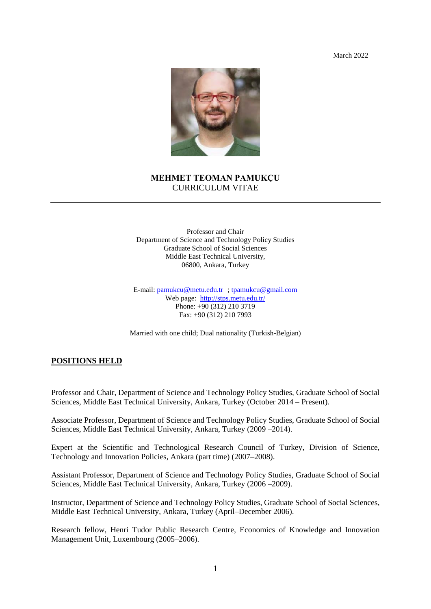March 2022



## **MEHMET TEOMAN PAMUKÇU** CURRICULUM VITAE

Professor and Chair Department of Science and Technology Policy Studies Graduate School of Social Sciences Middle East Technical University, 06800, Ankara, Turkey

E-mail: [pamukcu@metu.edu.tr](mailto:pamukcu@metu.edu.tr) [; tpamukcu@gmail.com](mailto:tpamukcu@gmail.com) Web page: <http://stps.metu.edu.tr/> Phone: +90 (312) 210 3719 Fax: +90 (312) 210 7993

Married with one child; Dual nationality (Turkish-Belgian)

#### **POSITIONS HELD**

Professor and Chair, Department of Science and Technology Policy Studies, Graduate School of Social Sciences, Middle East Technical University, Ankara, Turkey (October 2014 – Present).

Associate Professor, Department of Science and Technology Policy Studies, Graduate School of Social Sciences, Middle East Technical University, Ankara, Turkey (2009 –2014).

Expert at the Scientific and Technological Research Council of Turkey, Division of Science, Technology and Innovation Policies, Ankara (part time) (2007–2008).

Assistant Professor, Department of Science and Technology Policy Studies, Graduate School of Social Sciences, Middle East Technical University, Ankara, Turkey (2006 –2009).

Instructor, Department of Science and Technology Policy Studies, Graduate School of Social Sciences, Middle East Technical University, Ankara, Turkey (April–December 2006).

Research fellow, Henri Tudor Public Research Centre, Economics of Knowledge and Innovation Management Unit, Luxembourg (2005–2006).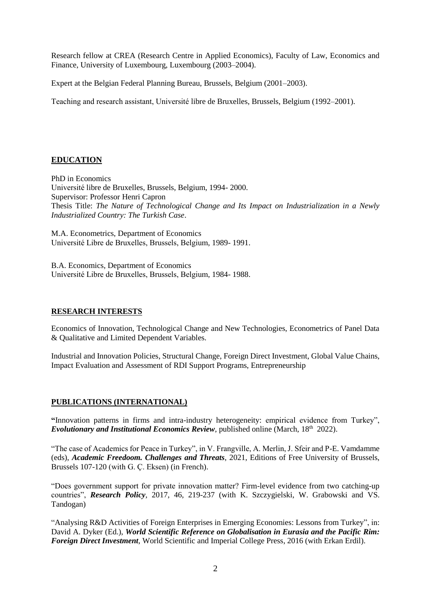Research fellow at CREA (Research Centre in Applied Economics), Faculty of Law, Economics and Finance, University of Luxembourg, Luxembourg (2003–2004).

Expert at the Belgian Federal Planning Bureau, Brussels, Belgium (2001–2003).

Teaching and research assistant, Université libre de Bruxelles, Brussels, Belgium (1992–2001).

# **EDUCATION**

PhD in Economics Université libre de Bruxelles, Brussels, Belgium, 1994- 2000. Supervisor: Professor Henri Capron Thesis Title: *The Nature of Technological Change and Its Impact on Industrialization in a Newly Industrialized Country: The Turkish Case*.

M.A. Econometrics, Department of Economics Université Libre de Bruxelles, Brussels, Belgium, 1989- 1991.

B.A. Economics, Department of Economics Université Libre de Bruxelles, Brussels, Belgium, 1984- 1988.

## **RESEARCH INTERESTS**

Economics of Innovation, Technological Change and New Technologies, Econometrics of Panel Data & Qualitative and Limited Dependent Variables.

Industrial and Innovation Policies, Structural Change, Foreign Direct Investment, Global Value Chains, Impact Evaluation and Assessment of RDI Support Programs, Entrepreneurship

## **PUBLICATIONS (INTERNATIONAL)**

**"**Innovation patterns in firms and intra-industry heterogeneity: empirical evidence from Turkey", *Evolutionary and Institutional Economics Review*, published online (March, 18<sup>th</sup> 2022).

"The case of Academics for Peace in Turkey", in V. Frangville, A. Merlin, J. Sfeir and P-E. Vamdamme (eds), *Academic Freedoom. Challenges and Threats*, 2021, Editions of Free University of Brussels, Brussels 107-120 (with G. Ç. Eksen) (in French).

"Does government support for private innovation matter? Firm-level evidence from two catching-up countries", *Research Policy,* 2017, 46, 219-237 (with K. Szczygielski, W. Grabowski and VS. Tandogan)

"Analysing R&D Activities of Foreign Enterprises in Emerging Economies: Lessons from Turkey", in: David A. Dyker (Ed.), *World Scientific Reference on Globalisation in Eurasia and the Pacific Rim: Foreign Direct Investment*, World Scientific and Imperial College Press, 2016 (with Erkan Erdil).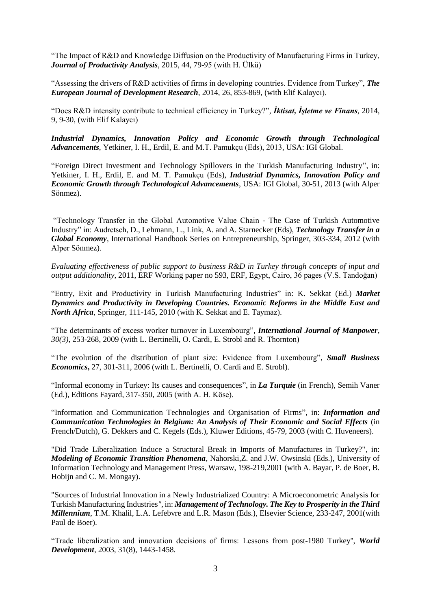"The Impact of R&D and Knowledge Diffusion on the Productivity of Manufacturing Firms in Turkey, *Journal of Productivity Analysis*, 2015, 44, 79-95 (with H. Ülkü)

"Assessing the drivers of R&D activities of firms in developing countries. Evidence from Turkey", *The European Journal of Development Research*, 2014, 26, 853-869, (with Elif Kalaycı).

"Does R&D intensity contribute to technical efficiency in Turkey?", *İktisat, İşletme ve Finans*, 2014, 9, 9-30, (with Elif Kalaycı)

*Industrial Dynamics, Innovation Policy and Economic Growth through Technological Advancements*, Yetkiner, I. H., Erdil, E. and M.T. Pamukçu (Eds), 2013, USA: IGI Global.

"Foreign Direct Investment and Technology Spillovers in the Turkish Manufacturing Industry", in: Yetkiner, I. H., Erdil, E. and M. T. Pamukçu (Eds), *Industrial Dynamics, Innovation Policy and Economic Growth through Technological Advancements*, USA: IGI Global, 30-51, 2013 (with Alper Sönmez).

"Technology Transfer in the Global Automotive Value Chain - The Case of Turkish Automotive Industry" in: Audretsch, D., Lehmann, L., Link, A. and A. Starnecker (Eds), *Technology Transfer in a Global Economy*, International Handbook Series on Entrepreneurship, Springer, 303-334, 2012 (with Alper Sönmez).

*Evaluating effectiveness of public support to business R&D in Turkey through concepts of input and output additionality*, 2011, ERF Working paper no 593, ERF, Egypt, Cairo, 36 pages (V.S. Tandoğan)

"Entry, Exit and Productivity in Turkish Manufacturing Industries" in: K. Sekkat (Ed.) *Market Dynamics and Productivity in Developing Countries. Economic Reforms in the Middle East and North Africa*, Springer, 111-145, 2010 (with K. Sekkat and E. Taymaz).

"The determinants of excess worker turnover in Luxembourg"*, International Journal of Manpower, 30(3)*, 253-268, 2009 (with L. Bertinelli, O. Cardi, E. Strobl and R. Thornton)

"The evolution of the distribution of plant size: Evidence from Luxembourg", *Small Business Economics***,** 27, 301-311, 2006 (with L. Bertinelli, O. Cardi and E. Strobl).

"Informal economy in Turkey: Its causes and consequences", in *La Turquie* (in French), Semih Vaner (Ed.), Editions Fayard, 317-350, 2005 (with A. H. Köse).

"Information and Communication Technologies and Organisation of Firms", in: *Information and Communication Technologies in Belgium: An Analysis of Their Economic and Social Effects* (in French/Dutch), G. Dekkers and C. Kegels (Eds.), Kluwer Editions, 45-79, 2003 (with C. Huveneers).

"Did Trade Liberalization Induce a Structural Break in Imports of Manufactures in Turkey?", in: *Modeling of Economic Transition Phenomena*, Nahorski,Z. and J.W. Owsinski (Eds.), University of Information Technology and Management Press, Warsaw, 198-219,2001 (with A. Bayar, P. de Boer, B. Hobijn and C. M. Mongay).

"Sources of Industrial Innovation in a Newly Industrialized Country: A Microeconometric Analysis for Turkish Manufacturing Industries*"*, in: *Management of Technology. The Key to Prosperity in the Third Millennium*, T.M. Khalil, L.A. Lefebvre and L.R. Mason (Eds.), Elsevier Science, 233-247, 2001(with Paul de Boer).

"Trade liberalization and innovation decisions of firms: Lessons from post-1980 Turkey'', *World Development*, 2003, 31(8), 1443-1458.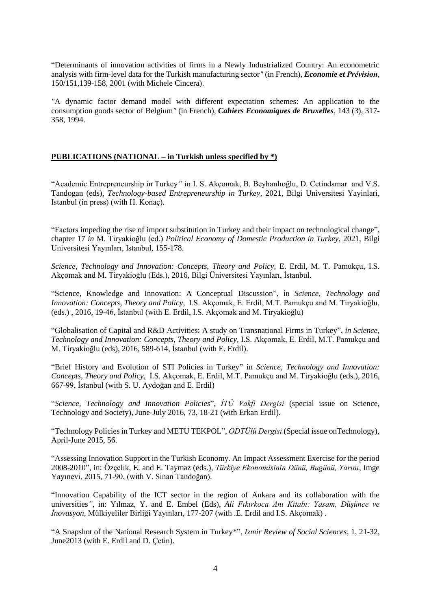"Determinants of innovation activities of firms in a Newly Industrialized Country: An econometric analysis with firm-level data for the Turkish manufacturing sector*"* (in French), *Economie et Prévision*, 150/151,139-158, 2001 (with Michele Cincera).

*"*A dynamic factor demand model with different expectation schemes: An application to the consumption goods sector of Belgium*"* (in French), *Cahiers Economiques de Bruxelles*, 143 (3), 317- 358, 1994.

### **PUBLICATIONS (NATIONAL – in Turkish unless specified by \*)**

"Academic Entrepreneurship in Turkey*"* in I. S. Akçomak, B. Beyhanlıoğlu, D. Cetindamar and V.S. Tandogan (eds), *Technology-based Entrepreneurship in Turkey*, 2021, Bilgi Universitesi Yayinlari, Istanbul (in press) (with H. Konaç).

"Factors impeding the rise of import substitution in Turkey and their impact on technological change", chapter 17 *in* M. Tiryakioğlu (ed.) *Political Economy of Domestic Production in Turkey*, 2021, Bilgi Universitesi Yayınları, Istanbul, 155-178.

*Science, Technology and Innovation: Concepts, Theory and Policy*, E. Erdil, M. T. Pamukçu, I.S. Akçomak and M. Tiryakioğlu (Eds.), 2016, Bilgi Üniversitesi Yayınları, İstanbul.

"Science, Knowledge and Innovation: A Conceptual Discussion", in *Science, Technology and Innovation: Concepts, Theory and Policy*, I.S. Akçomak, E. Erdil, M.T. Pamukçu and M. Tiryakioğlu, (eds.) , 2016, 19-46, İstanbul (with E. Erdil, I.S. Akçomak and M. Tiryakioğlu)

"Globalisation of Capital and R&D Activities: A study on Transnational Firms in Turkey", *in Science, Technology and Innovation: Concepts, Theory and Policy,* I.S. Akçomak, E. Erdil, M.T. Pamukçu and M. Tiryakioğlu (eds), 2016, 589-614, İstanbul (with E. Erdil).

"Brief History and Evolution of STI Policies in Turkey" in *Science, Technology and Innovation: Concepts, Theory and Policy*, İ.S. Akçomak, E. Erdil, M.T. Pamukçu and M. Tiryakioğlu (eds.), 2016, 667-99, İstanbul (with S. U. Aydoğan and E. Erdil)

"*Science, Technology and Innovation Policies*", *İTÜ Vakfı Dergisi* (special issue on Science, Technology and Society), June-July 2016, 73, 18-21 (with Erkan Erdil).

"Technology Policies in Turkey and METU TEKPOL", *ODTÜlü Dergisi* (Special issue onTechnology), April-June 2015, 56.

"Assessing Innovation Support in the Turkish Economy. An Impact Assessment Exercise for the period 2008-2010", in: Özçelik, E. and E. Taymaz (eds.), *Türkiye Ekonomisinin Dünü, Bugünü, Yarını*, Imge Yayınevi, 2015, 71-90, (with V. Sinan Tandoğan).

"Innovation Capability of the ICT sector in the region of Ankara and its collaboration with the universities*"*, in: Yılmaz, Y. and E. Embel (Eds), *Ali Fıkırkoca Anı Kitabı: Yasam, Düşünce ve İnovasyon*, Mülkiyeliler Birliği Yayınları, 177-207 (with .E. Erdil and I.S. Akçomak) .

"A Snapshot of the National Research System in Turkey\*", *Izmir Review of Social Sciences*, 1, 21-32, June2013 (with E. Erdil and D. Çetin).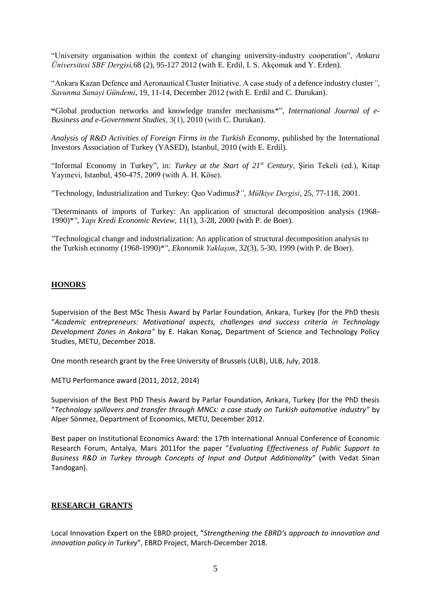"University organisation within the context of changing university-industry cooperation", *Ankara Üniversitesi SBF Dergisi,*68 (2), 95-127 2012 (with E. Erdil, I. S. Akçomak and Y. Erden).

"Ankara Kazan Defence and Aeronautical Cluster Initiative. A case study of a defence industry cluster*"*, *Savunma Sanayi Gündemi*, 19, 11-14, December 2012 (with E. Erdil and C. Durukan).

**"**Global production networks and knowledge transfer mechanisms\*", *International Journal of e-Business and e-Government Studies*, 3(1), 2010 (with C. Durukan).

*Analysis of R&D Activities of Foreign Firms in the Turkish Economy*, published by the International Investors Association of Turkey (YASED), Istanbul, 2010 (with E. Erdil).

"Informal Economy in Turkey", in: *Turkey at the Start of 21st Century*, Şirin Tekeli (ed.), Kitap Yayınevi, Istanbul, 450-475, 2009 (with A. H. Köse).

"Technology, Industrialization and Turkey: Quo Vadimus**?***"*, *Mülkiye Dergisi*, 25, 77-118, 2001.

*"*Determinants of imports of Turkey: An application of structural decomposition analysis (1968- 1990)\**"*, *Yapı Kredi Economic Review*, 11(1), 3-28, 2000 (with P. de Boer).

*"*Technological change and industrialization: An application of structural decomposition analysis to the Turkish economy (1968-1990)\**"*, *Ekonomik Yaklaşım,* 32(3), 5-30, 1999 (with P. de Boer).

#### **HONORS**

Supervision of the Best MSc Thesis Award by Parlar Foundation, Ankara, Turkey (for the PhD thesis "*Academic entrepreneurs: Motivational aspects, challenges and success criteria in Technology Development Zones in Ankara"* by E. Hakan Konaç, Department of Science and Technology Policy Studies, METU, December 2018.

One month research grant by the Free University of Brussels (ULB), ULB, July, 2018.

METU Performance award (2011, 2012, 2014)

Supervision of the Best PhD Thesis Award by Parlar Foundation, Ankara, Turkey (for the PhD thesis "*Technology spillovers and transfer through MNCs: a case study on Turkish automotive industry"* by Alper Sönmez, Department of Economics, METU, December 2012.

Best paper on Institutional Economics Award: the 17th International Annual Conference of Economic Research Forum, Antalya, Mars 2011for the paper "*Evaluating Effectiveness of Public Support to Business R&D in Turkey through Concepts of Input and Output Additionality"* (with Vedat Sinan Tandogan).

#### **RESEARCH GRANTS**

Local Innovation Expert on the EBRD project, "*Strengthening the EBRD's approach to innovation and innovation policy in Turkey*", EBRD Project, March-December 2018.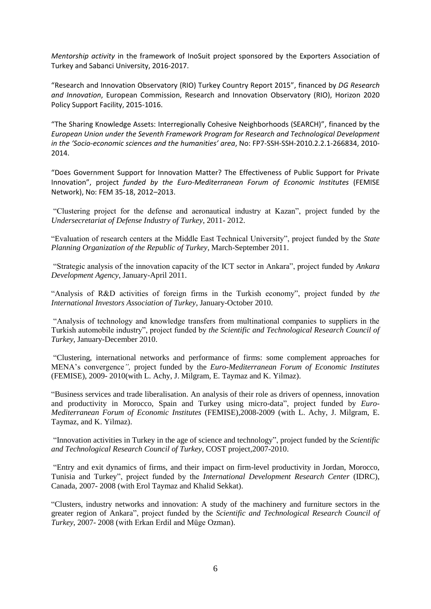*Mentorship activity* in the framework of InoSuit project sponsored by the Exporters Association of Turkey and Sabanci University, 2016-2017.

"Research and Innovation Observatory (RIO) Turkey Country Report 2015", financed by *DG Research and Innovation*, European Commission, Research and Innovation Observatory (RIO), Horizon 2020 Policy Support Facility, 2015-1016.

"The Sharing Knowledge Assets: Interregionally Cohesive Neighborhoods (SEARCH)", financed by the *European Union under the Seventh Framework Program for Research and Technological Development in the 'Socio-economic sciences and the humanities' area*, No: FP7-SSH-SSH-2010.2.2.1-266834, 2010- 2014.

"Does Government Support for Innovation Matter? The Effectiveness of Public Support for Private Innovation", project *funded by the Euro-Mediterranean Forum of Economic Institutes* (FEMISE Network), No: FEM 35-18, 2012–2013.

"Clustering project for the defense and aeronautical industry at Kazan", project funded by the *Undersecretariat of Defense Industry of Turkey*, 2011- 2012.

"Evaluation of research centers at the Middle East Technical University", project funded by the *State Planning Organization of the Republic of Turkey*, March-September 2011.

"Strategic analysis of the innovation capacity of the ICT sector in Ankara", project funded by *Ankara Development Agency*, January-April 2011.

"Analysis of R&D activities of foreign firms in the Turkish economy", project funded by *the International Investors Association of Turkey*, January-October 2010.

"Analysis of technology and knowledge transfers from multinational companies to suppliers in the Turkish automobile industry", project funded by *the Scientific and Technological Research Council of Turkey*, January-December 2010.

"Clustering, international networks and performance of firms: some complement approaches for MENA's convergence*",* project funded by the *Euro-Mediterranean Forum of Economic Institutes*  (FEMISE), 2009- 2010(with L. Achy, J. Milgram, E. Taymaz and K. Yilmaz).

"Business services and trade liberalisation. An analysis of their role as drivers of openness, innovation and productivity in Morocco, Spain and Turkey using micro-data", project funded by *Euro-Mediterranean Forum of Economic Institutes* (FEMISE),2008-2009 (with L. Achy, J. Milgram, E. Taymaz, and K. Yilmaz).

"Innovation activities in Turkey in the age of science and technology", project funded by the *Scientific and Technological Research Council of Turkey*, COST project,2007-2010.

"Entry and exit dynamics of firms, and their impact on firm-level productivity in Jordan, Morocco, Tunisia and Turkey", project funded by the *International Development Research Center* (IDRC), Canada, 2007- 2008 (with Erol Taymaz and Khalid Sekkat).

"Clusters, industry networks and innovation: A study of the machinery and furniture sectors in the greater region of Ankara", project funded by the *Scientific and Technological Research Council of Turkey*, 2007- 2008 (with Erkan Erdil and Müge Ozman).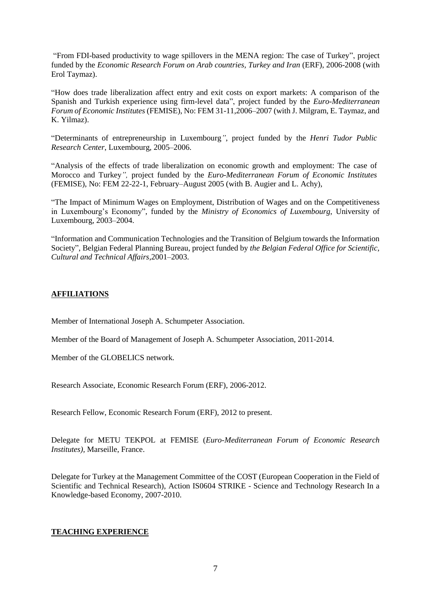"From FDI-based productivity to wage spillovers in the MENA region: The case of Turkey", project funded by the *Economic Research Forum on Arab countries, Turkey and Iran* (ERF), 2006-2008 (with Erol Taymaz).

"How does trade liberalization affect entry and exit costs on export markets: A comparison of the Spanish and Turkish experience using firm-level data", project funded by the *Euro-Mediterranean Forum of Economic Institutes* (FEMISE), No: FEM 31-11,2006–2007 (with J. Milgram, E. Taymaz, and K. Yilmaz).

"Determinants of entrepreneurship in Luxembourg*"*, project funded by the *Henri Tudor Public Research Center*, Luxembourg, 2005–2006.

"Analysis of the effects of trade liberalization on economic growth and employment: The case of Morocco and Turkey*",* project funded by the *Euro-Mediterranean Forum of Economic Institutes*  (FEMISE), No: FEM 22-22-1, February–August 2005 (with B. Augier and L. Achy),

"The Impact of Minimum Wages on Employment, Distribution of Wages and on the Competitiveness in Luxembourg's Economy", funded by the *Ministry of Economics of Luxembourg*, University of Luxembourg, 2003–2004.

"Information and Communication Technologies and the Transition of Belgium towards the Information Society", Belgian Federal Planning Bureau, project funded by *the Belgian Federal Office for Scientific, Cultural and Technical Affairs*,2001–2003.

## **AFFILIATIONS**

Member of International Joseph A. Schumpeter Association.

Member of the Board of Management of Joseph A. Schumpeter Association, 2011-2014.

Member of the GLOBELICS network.

Research Associate, Economic Research Forum (ERF), 2006-2012.

Research Fellow, Economic Research Forum (ERF), 2012 to present.

Delegate for METU TEKPOL at FEMISE (*Euro-Mediterranean Forum of Economic Research Institutes),* Marseille, France.

Delegate for Turkey at the Management Committee of the COST (European Cooperation in the Field of Scientific and Technical Research), Action IS0604 STRIKE - Science and Technology Research In a Knowledge-based Economy, 2007-2010.

#### **TEACHING EXPERIENCE**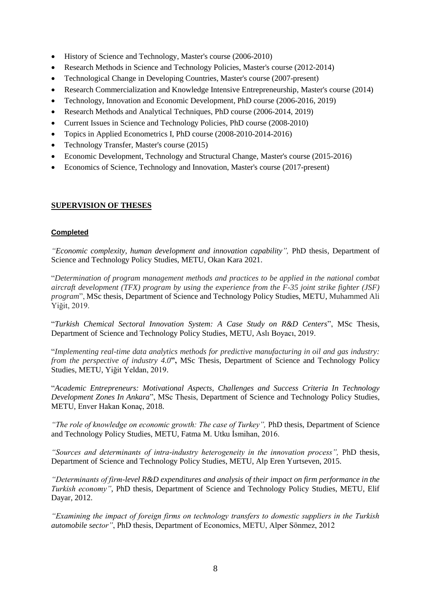- History of Science and Technology, Master's course (2006-2010)
- Research Methods in Science and Technology Policies, Master's course (2012-2014)
- Technological Change in Developing Countries, Master's course (2007-present)
- Research Commercialization and Knowledge Intensive Entrepreneurship, Master's course (2014)
- Technology, Innovation and Economic Development, PhD course (2006-2016, 2019)
- Research Methods and Analytical Techniques, PhD course (2006-2014, 2019)
- Current Issues in Science and Technology Policies, PhD course (2008-2010)
- Topics in Applied Econometrics I, PhD course (2008-2010-2014-2016)
- Technology Transfer, Master's course (2015)
- Economic Development, Technology and Structural Change, Master's course (2015-2016)
- Economics of Science, Technology and Innovation, Master's course (2017-present)

### **SUPERVISION OF THESES**

#### **Completed**

*"Economic complexity, human development and innovation capability",* PhD thesis*,* Department of Science and Technology Policy Studies, METU, Okan Kara 2021.

"*Determination of program management methods and practices to be applied in the national combat aircraft development (TFX) program by using the experience from the F-35 joint strike fighter (JSF) program*", MSc thesis*,* Department of Science and Technology Policy Studies, METU, Muhammed Ali Yiğit, 2019.

"*Turkish Chemical Sectoral Innovation System: A Case Study on R&D Centers*", MSc Thesis, Department of Science and Technology Policy Studies, METU, Aslı Boyacı, 2019.

"*Implementing real-time data analytics methods for predictive manufacturing in oil and gas industry: from the perspective of industry 4.0***",** MSc Thesis, Department of Science and Technology Policy Studies, METU, Yiğit Yeldan, 2019.

"*Academic Entrepreneurs: Motivational Aspects, Challenges and Success Criteria In Technology Development Zones In Ankara*", MSc Thesis, Department of Science and Technology Policy Studies, METU, Enver Hakan Konaç, 2018.

*"The role of knowledge on economic growth: The case of Turkey"*, PhD thesis, Department of Science and Technology Policy Studies, METU, Fatma M. Utku İsmihan, 2016.

*"Sources and determinants of intra-industry heterogeneity in the innovation process",* PhD thesis*,*  Department of Science and Technology Policy Studies, METU, Alp Eren Yurtseven, 2015.

*"Determinants of firm-level R&D expenditures and analysis of their impact on firm performance in the Turkish economy"*, PhD thesis*,* Department of Science and Technology Policy Studies, METU, Elif Dayar, 2012.

*"Examining the impact of foreign firms on technology transfers to domestic suppliers in the Turkish automobile sector"*, PhD thesis, Department of Economics, METU, Alper Sönmez, 2012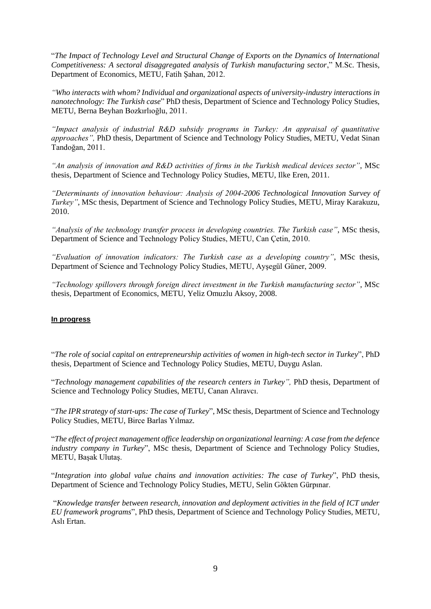"*The Impact of Technology Level and Structural Change of Exports on the Dynamics of International Competitiveness: A sectoral disaggregated analysis of Turkish manufacturing sector*," M.Sc. Thesis*,*  Department of Economics, METU, Fatih Şahan, 2012.

*"Who interacts with whom? Individual and organizational aspects of university-industry interactions in nanotechnology: The Turkish case*" PhD thesis*,* Department of Science and Technology Policy Studies, METU, Berna Beyhan Bozkırlıoğlu, 2011.

*"Impact analysis of industrial R&D subsidy programs in Turkey: An appraisal of quantitative approaches",* PhD thesis*,* Department of Science and Technology Policy Studies, METU, Vedat Sinan Tandoğan, 2011.

*"An analysis of innovation and R&D activities of firms in the Turkish medical devices sector"*, MSc thesis, Department of Science and Technology Policy Studies, METU, Ilke Eren, 2011.

*"Determinants of innovation behaviour: Analysis of 2004-2006 Technological Innovation Survey of Turkey"*, MSc thesis, Department of Science and Technology Policy Studies, METU, Miray Karakuzu, 2010.

*"Analysis of the technology transfer process in developing countries. The Turkish case"*, MSc thesis*,*  Department of Science and Technology Policy Studies, METU, Can Çetin, 2010.

*"Evaluation of innovation indicators: The Turkish case as a developing country"*, MSc thesis, Department of Science and Technology Policy Studies, METU, Ayşegül Güner, 2009.

*"Technology spillovers through foreign direct investment in the Turkish manufacturing sector"*, MSc thesis, Department of Economics, METU, Yeliz Omuzlu Aksoy, 2008.

#### **In progress**

"*The role of social capital on entrepreneurship activities of women in high-tech sector in Turkey*", PhD thesis*,* Department of Science and Technology Policy Studies, METU, Duygu Aslan.

"*Technology management capabilities of the research centers in Turkey",* PhD thesis*,* Department of Science and Technology Policy Studies, METU, Canan Alıravcı.

"*The IPR strategy of start-ups: The case of Turkey*", MSc thesis*,* Department of Science and Technology Policy Studies, METU, Birce Barlas Yılmaz.

"*The effect of project management office leadership on organizational learning: A case from the defence industry company in Turkey*", MSc thesis*,* Department of Science and Technology Policy Studies, METU, Başak Ulutaş.

"*Integration into global value chains and innovation activities: The case of Turkey*", PhD thesis, Department of Science and Technology Policy Studies, METU, Selin Gökten Gürpınar.

"*Knowledge transfer between research, innovation and deployment activities in the field of ICT under EU framework programs*", PhD thesis, Department of Science and Technology Policy Studies, METU, Aslı Ertan.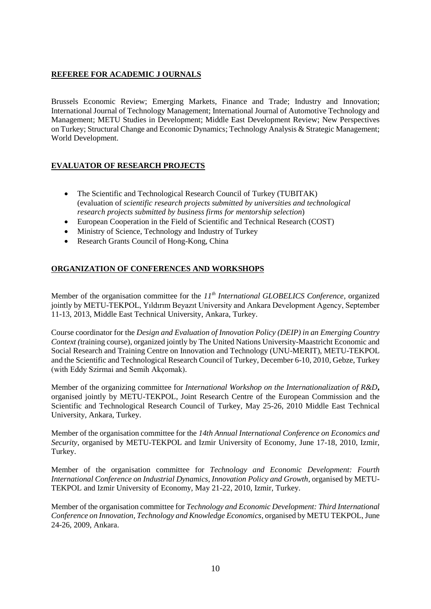# **REFEREE FOR ACADEMIC J OURNALS**

Brussels Economic Review; Emerging Markets, Finance and Trade; Industry and Innovation; International Journal of Technology Management; International Journal of Automotive Technology and Management; METU Studies in Development; Middle East Development Review; New Perspectives on Turkey; Structural Change and Economic Dynamics; Technology Analysis & Strategic Management; World Development.

# **EVALUATOR OF RESEARCH PROJECTS**

- The Scientific and Technological Research Council of Turkey (TUBITAK) (evaluation of *scientific research projects submitted by universities and technological research projects submitted by business firms for mentorship selection*)
- European Cooperation in the Field of Scientific and Technical Research (COST)
- Ministry of Science, Technology and Industry of Turkey
- Research Grants Council of Hong-Kong, China

# **ORGANIZATION OF CONFERENCES AND WORKSHOPS**

Member of the organisation committee for the *11th International GLOBELICS Conference*, organized jointly by METU-TEKPOL, Yıldırım Beyazıt University and Ankara Development Agency, September 11-13, 2013, Middle East Technical University, Ankara, Turkey.

Course coordinator for the *Design and Evaluation of Innovation Policy (DEIP) in an Emerging Country Context (*training course), organized jointly by The United Nations University-Maastricht Economic and Social Research and Training Centre on Innovation and Technology (UNU-MERIT), METU-TEKPOL and the Scientific and Technological Research Council of Turkey, December 6-10, 2010, Gebze, Turkey (with Eddy Szirmai and Semih Akçomak).

Member of the organizing committee for *International Workshop on the Internationalization of R&D***,**  organised jointly by METU-TEKPOL, Joint Research Centre of the European Commission and the Scientific and Technological Research Council of Turkey, May 25-26, 2010 Middle East Technical University, Ankara, Turkey.

Member of the organisation committee for the *14th Annual International Conference on Economics and Security*, organised by METU-TEKPOL and Izmir University of Economy, June 17-18, 2010, Izmir, Turkey.

Member of the organisation committee for *Technology and Economic Development: Fourth International Conference on Industrial Dynamics, Innovation Policy and Growth*, organised by METU-TEKPOL and Izmir University of Economy, May 21-22, 2010, Izmir, Turkey.

Member of the organisation committee for *Technology and Economic Development: Third International Conference on Innovation, Technology and Knowledge Economics*, organised by METU TEKPOL, June 24-26, 2009, Ankara.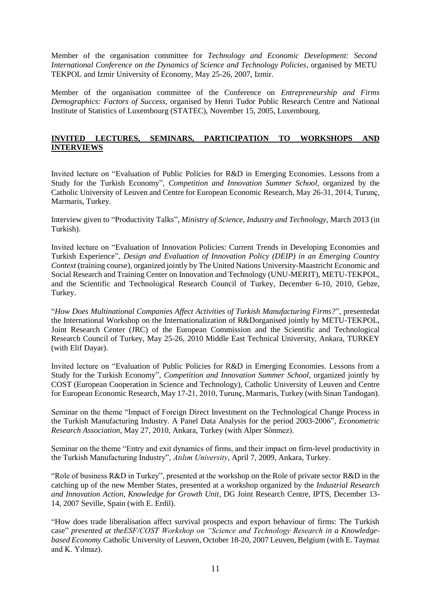Member of the organisation committee for *Technology and Economic Development: Second International Conference on the Dynamics of Science and Technology Policies*, organised by METU TEKPOL and Izmir University of Economy, May 25-26, 2007, Izmir.

Member of the organisation committee of the Conference on *Entrepreneurship and Firms Demographics: Factors of Success*, organised by Henri Tudor Public Research Centre and National Institute of Statistics of Luxembourg (STATEC), November 15, 2005, Luxembourg.

### **INVITED LECTURES, SEMINARS, PARTICIPATION TO WORKSHOPS AND INTERVIEWS**

Invited lecture on "Evaluation of Public Policies for R&D in Emerging Economies. Lessons from a Study for the Turkish Economy", *Competition and Innovation Summer School*, organized by the Catholic University of Leuven and Centre for European Economic Research, May 26-31, 2014, Turunç, Marmaris, Turkey.

Interview given to "Productivity Talks", *Ministry of Science, Industry and Technology*, March 2013 (in Turkish).

Invited lecture on "Evaluation of Innovation Policies: Current Trends in Developing Economies and Turkish Experience", *Design and Evaluation of Innovation Policy (DEIP) in an Emerging Country Context* (training course), organized jointly by The United Nations University-Maastricht Economic and Social Research and Training Center on Innovation and Technology (UNU-MERIT), METU-TEKPOL, and the Scientific and Technological Research Council of Turkey, December 6-10, 2010, Gebze, Turkey.

"*How Does Multinational Companies Affect Activities of Turkish Manufacturing Firms?*", presentedat the International Workshop on the Internationalization of R&Dorganised jointly by METU-TEKPOL, Joint Research Center (JRC) of the European Commission and the Scientific and Technological Research Council of Turkey, May 25-26, 2010 Middle East Technical University, Ankara, TURKEY (with Elif Dayar).

Invited lecture on "Evaluation of Public Policies for R&D in Emerging Economies. Lessons from a Study for the Turkish Economy", *Competition and Innovation Summer School*, organized jointly by COST (European Cooperation in Science and Technology), Catholic University of Leuven and Centre for European Economic Research, May 17-21, 2010, Turunç, Marmaris, Turkey (with Sinan Tandogan).

Seminar on the theme "Impact of Foreign Direct Investment on the Technological Change Process in the Turkish Manufacturing Industry. A Panel Data Analysis for the period 2003-2006", *Econometric Research Association*, May 27, 2010, Ankara, Turkey (with Alper Sönmez).

Seminar on the theme "Entry and exit dynamics of firms, and their impact on firm-level productivity in the Turkish Manufacturing Industry", *Atılım University*, April 7, 2009, Ankara, Turkey.

"Role of business R&D in Turkey", presented at the workshop on the Role of private sector R&D in the catching up of the new Member States, presented at a workshop organized by the *Industrial Research and Innovation Action, Knowledge for Growth Unit*, DG Joint Research Centre, IPTS, December 13- 14, 2007 Seville, Spain (with E. Erdil).

"How does trade liberalisation affect survival prospects and export behaviour of firms: The Turkish case" *presented at theESF/COST Workshop on "Science and Technology Research in a Knowledgebased Economy*,Catholic University of Leuven, October 18-20, 2007 Leuven, Belgium (with E. Taymaz and K. Yılmaz).